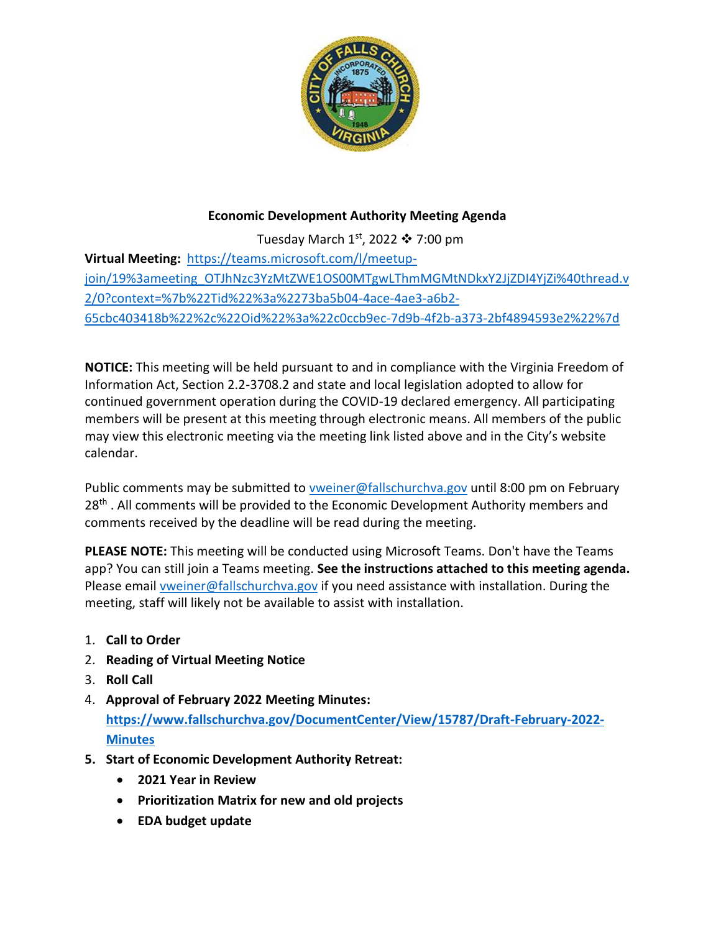

## **Economic Development Authority Meeting Agenda**

Tuesday March  $1<sup>st</sup>$ , 2022  $\cdot$  7:00 pm **Virtual Meeting:** [https://teams.microsoft.com/l/meetup](https://teams.microsoft.com/l/meetup-join/19%3ameeting_OTJhNzc3YzMtZWE1OS00MTgwLThmMGMtNDkxY2JjZDI4YjZi%40thread.v2/0?context=%7b%22Tid%22%3a%2273ba5b04-4ace-4ae3-a6b2-65cbc403418b%22%2c%22Oid%22%3a%22c0ccb9ec-7d9b-4f2b-a373-2bf4894593e2%22%7d)[join/19%3ameeting\\_OTJhNzc3YzMtZWE1OS00MTgwLThmMGMtNDkxY2JjZDI4YjZi%40thread.v](https://teams.microsoft.com/l/meetup-join/19%3ameeting_OTJhNzc3YzMtZWE1OS00MTgwLThmMGMtNDkxY2JjZDI4YjZi%40thread.v2/0?context=%7b%22Tid%22%3a%2273ba5b04-4ace-4ae3-a6b2-65cbc403418b%22%2c%22Oid%22%3a%22c0ccb9ec-7d9b-4f2b-a373-2bf4894593e2%22%7d) [2/0?context=%7b%22Tid%22%3a%2273ba5b04-4ace-4ae3-a6b2-](https://teams.microsoft.com/l/meetup-join/19%3ameeting_OTJhNzc3YzMtZWE1OS00MTgwLThmMGMtNDkxY2JjZDI4YjZi%40thread.v2/0?context=%7b%22Tid%22%3a%2273ba5b04-4ace-4ae3-a6b2-65cbc403418b%22%2c%22Oid%22%3a%22c0ccb9ec-7d9b-4f2b-a373-2bf4894593e2%22%7d) [65cbc403418b%22%2c%22Oid%22%3a%22c0ccb9ec-7d9b-4f2b-a373-2bf4894593e2%22%7d](https://teams.microsoft.com/l/meetup-join/19%3ameeting_OTJhNzc3YzMtZWE1OS00MTgwLThmMGMtNDkxY2JjZDI4YjZi%40thread.v2/0?context=%7b%22Tid%22%3a%2273ba5b04-4ace-4ae3-a6b2-65cbc403418b%22%2c%22Oid%22%3a%22c0ccb9ec-7d9b-4f2b-a373-2bf4894593e2%22%7d)

**NOTICE:** This meeting will be held pursuant to and in compliance with the Virginia Freedom of Information Act, Section 2.2-3708.2 and state and local legislation adopted to allow for continued government operation during the COVID-19 declared emergency. All participating members will be present at this meeting through electronic means. All members of the public may view this electronic meeting via the meeting link listed above and in the City's website calendar.

Public comments may be submitted to [vweiner@fallschurchva.gov](mailto:vweiner@fallschurchva.gov) until 8:00 pm on February 28<sup>th</sup>. All comments will be provided to the Economic Development Authority members and comments received by the deadline will be read during the meeting.

**PLEASE NOTE:** This meeting will be conducted using Microsoft Teams. Don't have the Teams app? You can still join a Teams meeting. **See the instructions attached to this meeting agenda.**  Please email [vweiner@fallschurchva.gov](mailto:vweiner@fallschurchva.gov) if you need assistance with installation. During the meeting, staff will likely not be available to assist with installation.

- 1. **Call to Order**
- 2. **Reading of Virtual Meeting Notice**
- 3. **Roll Call**
- 4. **Approval of February 2022 Meeting Minutes: [https://www.fallschurchva.gov/DocumentCenter/View/15787/Draft-February-2022-](https://www.fallschurchva.gov/DocumentCenter/View/15787/Draft-February-2022-Minutes) [Minutes](https://www.fallschurchva.gov/DocumentCenter/View/15787/Draft-February-2022-Minutes)**
- **5. Start of Economic Development Authority Retreat:**
	- **2021 Year in Review**
	- **Prioritization Matrix for new and old projects**
	- **EDA budget update**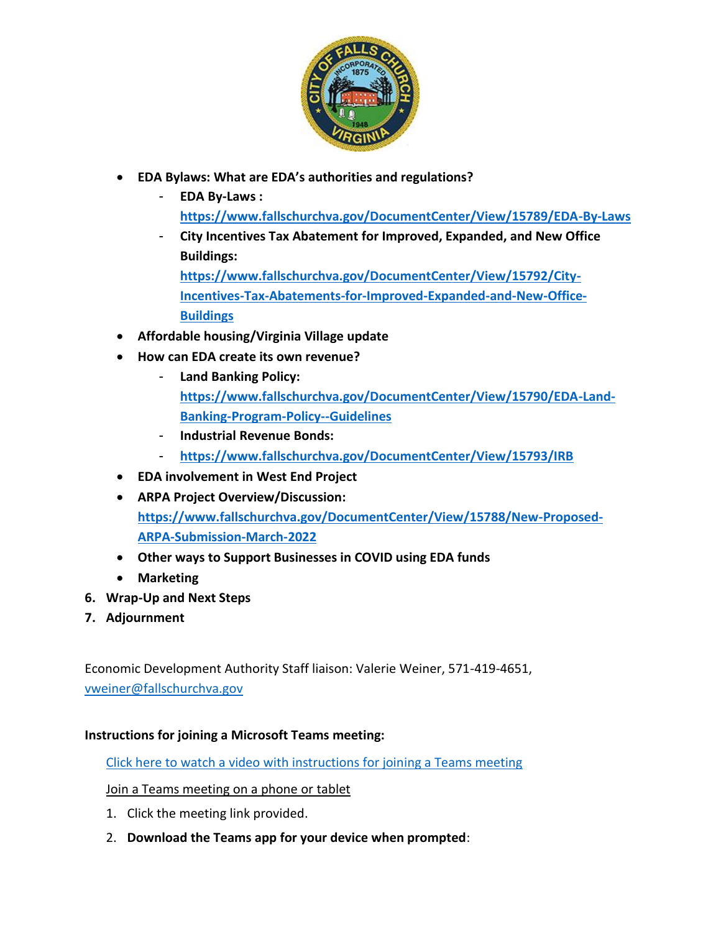

- **EDA Bylaws: What are EDA's authorities and regulations?** 
	- **EDA By-Laws : <https://www.fallschurchva.gov/DocumentCenter/View/15789/EDA-By-Laws>**
	- **City Incentives Tax Abatement for Improved, Expanded, and New Office Buildings:**

**[https://www.fallschurchva.gov/DocumentCenter/View/15792/City-](https://www.fallschurchva.gov/DocumentCenter/View/15792/City-Incentives-Tax-Abatements-for-Improved-Expanded-and-New-Office-Buildings)[Incentives-Tax-Abatements-for-Improved-Expanded-and-New-Office-](https://www.fallschurchva.gov/DocumentCenter/View/15792/City-Incentives-Tax-Abatements-for-Improved-Expanded-and-New-Office-Buildings)[Buildings](https://www.fallschurchva.gov/DocumentCenter/View/15792/City-Incentives-Tax-Abatements-for-Improved-Expanded-and-New-Office-Buildings)**

- **Affordable housing/Virginia Village update**
- **How can EDA create its own revenue?**
	- **Land Banking Policy: [https://www.fallschurchva.gov/DocumentCenter/View/15790/EDA-Land-](https://www.fallschurchva.gov/DocumentCenter/View/15790/EDA-Land-Banking-Program-Policy--Guidelines)[Banking-Program-Policy--Guidelines](https://www.fallschurchva.gov/DocumentCenter/View/15790/EDA-Land-Banking-Program-Policy--Guidelines)**
	- **Industrial Revenue Bonds:**
	- **<https://www.fallschurchva.gov/DocumentCenter/View/15793/IRB>**
- **EDA involvement in West End Project**
- **ARPA Project Overview/Discussion: [https://www.fallschurchva.gov/DocumentCenter/View/15788/New-Proposed-](https://www.fallschurchva.gov/DocumentCenter/View/15788/New-Proposed-ARPA-Submission-March-2022)[ARPA-Submission-March-2022](https://www.fallschurchva.gov/DocumentCenter/View/15788/New-Proposed-ARPA-Submission-March-2022)**
- **Other ways to Support Businesses in COVID using EDA funds**
- **Marketing**
- **6. Wrap-Up and Next Steps**
- **7. Adjournment**

Economic Development Authority Staff liaison: Valerie Weiner, 571-419-4651, [vweiner@fallschurchva.gov](mailto:vweiner@fallschurchva.gov)

## **Instructions for joining a Microsoft Teams meeting:**

[Click here to watch a video with instructions for joining a Teams meeting](https://www.microsoft.com/en-us/videoplayer/embed/RE3Oz24?pid=ocpVideo0-innerdiv-oneplayer&postJsllMsg=true&maskLevel=20&market=en-us)

## Join a Teams meeting on a phone or tablet

- 1. Click the meeting link provided.
- 2. **Download the Teams app for your device when prompted**: